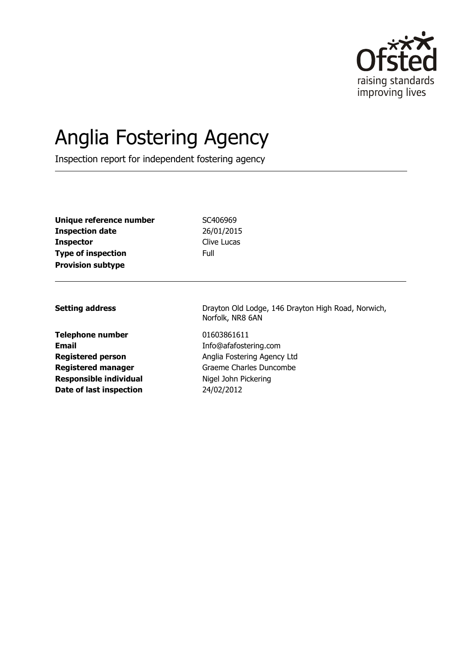

# Anglia Fostering Agency

Inspection report for independent fostering agency

| Unique reference number   | SC4  |
|---------------------------|------|
| <b>Inspection date</b>    | 26/  |
| <b>Inspector</b>          | Cliv |
| <b>Type of inspection</b> | Full |
| <b>Provision subtype</b>  |      |

SC406969 **Inspection date** 26/01/2015 **Clive Lucas** 

**Telephone number** 01603861611 **Email** Info@afafostering.com **Responsible individual** Nigel John Pickering **Date of last inspection** 24/02/2012

**Setting address** Drayton Old Lodge, 146 Drayton High Road, Norwich, Norfolk, NR8 6AN

**Registered person** Anglia Fostering Agency Ltd **Registered manager Graeme Charles Duncombe**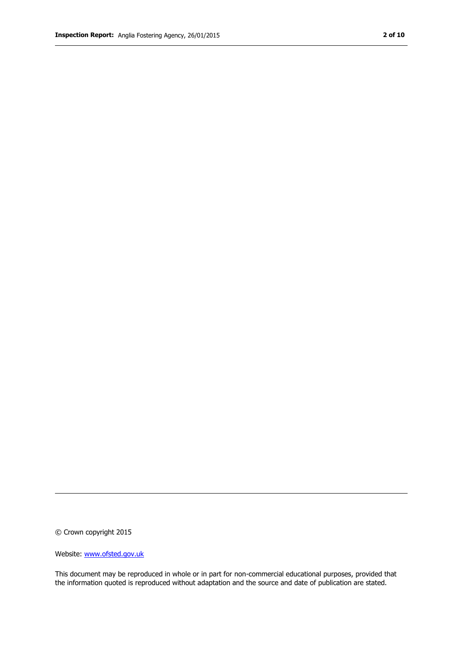© Crown copyright 2015

Website: www.ofsted.gov.uk

This document may be reproduced in whole or in part for non-commercial educational purposes, provided that the information quoted is reproduced without adaptation and the source and date of publication are stated.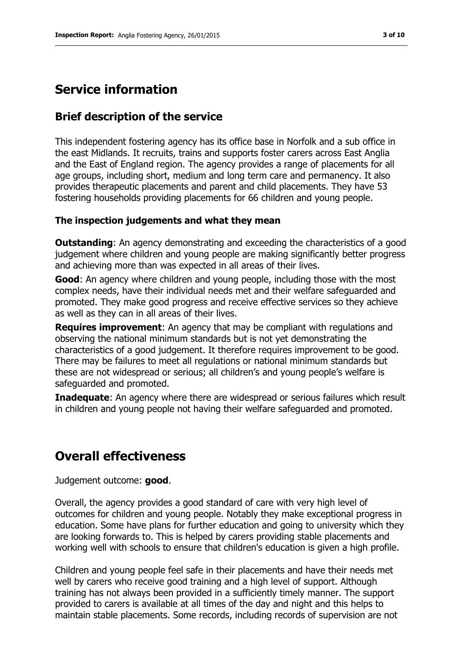## **Service information**

### **Brief description of the service**

This independent fostering agency has its office base in Norfolk and a sub office in the east Midlands. It recruits, trains and supports foster carers across East Anglia and the East of England region. The agency provides a range of placements for all age groups, including short, medium and long term care and permanency. It also provides therapeutic placements and parent and child placements. They have 53 fostering households providing placements for 66 children and young people.

#### **The inspection judgements and what they mean**

**Outstanding:** An agency demonstrating and exceeding the characteristics of a good judgement where children and young people are making significantly better progress and achieving more than was expected in all areas of their lives.

**Good**: An agency where children and young people, including those with the most complex needs, have their individual needs met and their welfare safeguarded and promoted. They make good progress and receive effective services so they achieve as well as they can in all areas of their lives.

**Requires improvement**: An agency that may be compliant with regulations and observing the national minimum standards but is not yet demonstrating the characteristics of a good judgement. It therefore requires improvement to be good. There may be failures to meet all regulations or national minimum standards but these are not widespread or serious; all children's and young people's welfare is safeguarded and promoted.

**Inadequate:** An agency where there are widespread or serious failures which result in children and young people not having their welfare safeguarded and promoted.

## **Overall effectiveness**

Judgement outcome: **good**.

Overall, the agency provides a good standard of care with very high level of outcomes for children and young people. Notably they make exceptional progress in education. Some have plans for further education and going to university which they are looking forwards to. This is helped by carers providing stable placements and working well with schools to ensure that children's education is given a high profile.

Children and young people feel safe in their placements and have their needs met well by carers who receive good training and a high level of support. Although training has not always been provided in a sufficiently timely manner. The support provided to carers is available at all times of the day and night and this helps to maintain stable placements. Some records, including records of supervision are not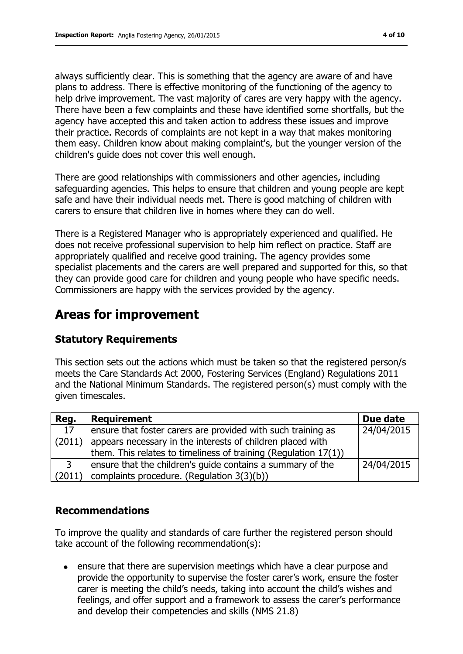always sufficiently clear. This is something that the agency are aware of and have plans to address. There is effective monitoring of the functioning of the agency to help drive improvement. The vast majority of cares are very happy with the agency. There have been a few complaints and these have identified some shortfalls, but the agency have accepted this and taken action to address these issues and improve their practice. Records of complaints are not kept in a way that makes monitoring them easy. Children know about making complaint's, but the younger version of the children's guide does not cover this well enough.

There are good relationships with commissioners and other agencies, including safeguarding agencies. This helps to ensure that children and young people are kept safe and have their individual needs met. There is good matching of children with carers to ensure that children live in homes where they can do well.

There is a Registered Manager who is appropriately experienced and qualified. He does not receive professional supervision to help him reflect on practice. Staff are appropriately qualified and receive good training. The agency provides some specialist placements and the carers are well prepared and supported for this, so that they can provide good care for children and young people who have specific needs. Commissioners are happy with the services provided by the agency.

# **Areas for improvement**

## **Statutory Requirements**

This section sets out the actions which must be taken so that the registered person/s meets the Care Standards Act 2000, Fostering Services (England) Regulations 2011 and the National Minimum Standards. The registered person(s) must comply with the given timescales.

| Reg.   | <b>Requirement</b>                                              | Due date   |
|--------|-----------------------------------------------------------------|------------|
| 17     | ensure that foster carers are provided with such training as    | 24/04/2015 |
| (2011) | appears necessary in the interests of children placed with      |            |
|        | them. This relates to timeliness of training (Regulation 17(1)) |            |
| 3      | ensure that the children's guide contains a summary of the      | 24/04/2015 |
| (2011) | complaints procedure. (Regulation 3(3)(b))                      |            |

## **Recommendations**

To improve the quality and standards of care further the registered person should take account of the following recommendation(s):

ensure that there are supervision meetings which have a clear purpose and provide the opportunity to supervise the foster carer's work, ensure the foster carer is meeting the child's needs, taking into account the child's wishes and feelings, and offer support and a framework to assess the carer's performance and develop their competencies and skills (NMS 21.8)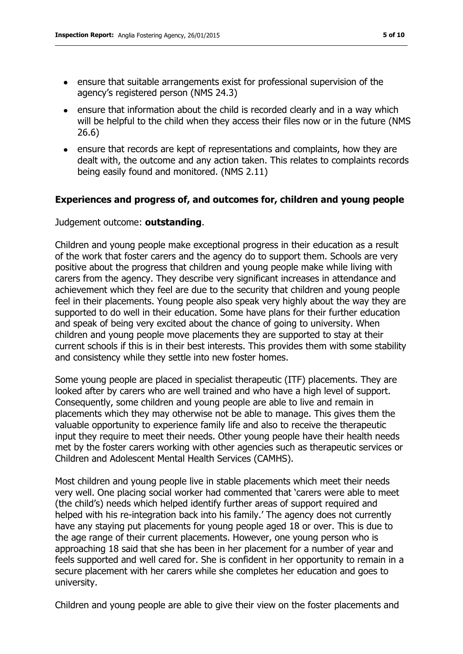- ensure that suitable arrangements exist for professional supervision of the agency's registered person (NMS 24.3)
- ensure that information about the child is recorded clearly and in a way which will be helpful to the child when they access their files now or in the future (NMS 26.6)
- ensure that records are kept of representations and complaints, how they are dealt with, the outcome and any action taken. This relates to complaints records being easily found and monitored. (NMS 2.11)

#### **Experiences and progress of, and outcomes for, children and young people**

Judgement outcome: **outstanding**.

Children and young people make exceptional progress in their education as a result of the work that foster carers and the agency do to support them. Schools are very positive about the progress that children and young people make while living with carers from the agency. They describe very significant increases in attendance and achievement which they feel are due to the security that children and young people feel in their placements. Young people also speak very highly about the way they are supported to do well in their education. Some have plans for their further education and speak of being very excited about the chance of going to university. When children and young people move placements they are supported to stay at their current schools if this is in their best interests. This provides them with some stability and consistency while they settle into new foster homes.

Some young people are placed in specialist therapeutic (ITF) placements. They are looked after by carers who are well trained and who have a high level of support. Consequently, some children and young people are able to live and remain in placements which they may otherwise not be able to manage. This gives them the valuable opportunity to experience family life and also to receive the therapeutic input they require to meet their needs. Other young people have their health needs met by the foster carers working with other agencies such as therapeutic services or Children and Adolescent Mental Health Services (CAMHS).

Most children and young people live in stable placements which meet their needs very well. One placing social worker had commented that 'carers were able to meet (the child's) needs which helped identify further areas of support required and helped with his re-integration back into his family.' The agency does not currently have any staying put placements for young people aged 18 or over. This is due to the age range of their current placements. However, one young person who is approaching 18 said that she has been in her placement for a number of year and feels supported and well cared for. She is confident in her opportunity to remain in a secure placement with her carers while she completes her education and goes to university.

Children and young people are able to give their view on the foster placements and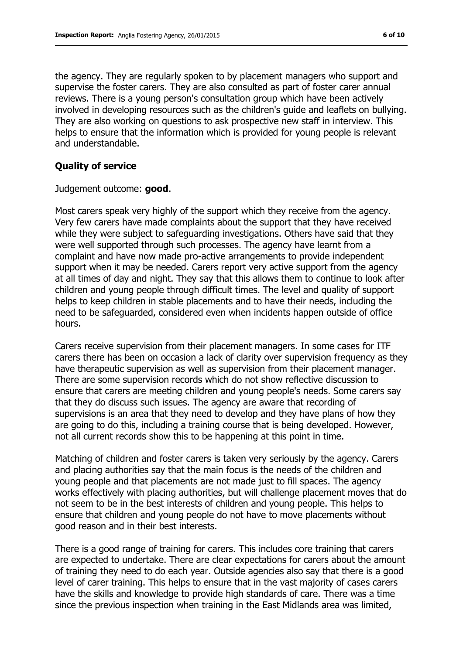the agency. They are regularly spoken to by placement managers who support and supervise the foster carers. They are also consulted as part of foster carer annual reviews. There is a young person's consultation group which have been actively involved in developing resources such as the children's guide and leaflets on bullying. They are also working on questions to ask prospective new staff in interview. This helps to ensure that the information which is provided for young people is relevant and understandable.

#### **Quality of service**

Judgement outcome: **good**.

Most carers speak very highly of the support which they receive from the agency. Very few carers have made complaints about the support that they have received while they were subject to safeguarding investigations. Others have said that they were well supported through such processes. The agency have learnt from a complaint and have now made pro-active arrangements to provide independent support when it may be needed. Carers report very active support from the agency at all times of day and night. They say that this allows them to continue to look after children and young people through difficult times. The level and quality of support helps to keep children in stable placements and to have their needs, including the need to be safeguarded, considered even when incidents happen outside of office hours.

Carers receive supervision from their placement managers. In some cases for ITF carers there has been on occasion a lack of clarity over supervision frequency as they have therapeutic supervision as well as supervision from their placement manager. There are some supervision records which do not show reflective discussion to ensure that carers are meeting children and young people's needs. Some carers say that they do discuss such issues. The agency are aware that recording of supervisions is an area that they need to develop and they have plans of how they are going to do this, including a training course that is being developed. However, not all current records show this to be happening at this point in time.

Matching of children and foster carers is taken very seriously by the agency. Carers and placing authorities say that the main focus is the needs of the children and young people and that placements are not made just to fill spaces. The agency works effectively with placing authorities, but will challenge placement moves that do not seem to be in the best interests of children and young people. This helps to ensure that children and young people do not have to move placements without good reason and in their best interests.

There is a good range of training for carers. This includes core training that carers are expected to undertake. There are clear expectations for carers about the amount of training they need to do each year. Outside agencies also say that there is a good level of carer training. This helps to ensure that in the vast majority of cases carers have the skills and knowledge to provide high standards of care. There was a time since the previous inspection when training in the East Midlands area was limited,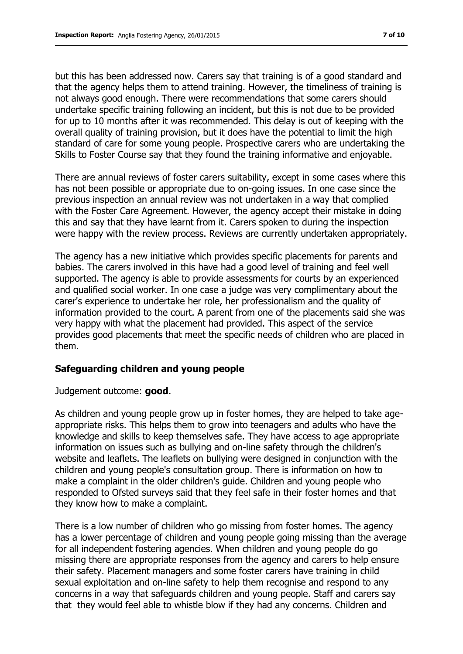but this has been addressed now. Carers say that training is of a good standard and that the agency helps them to attend training. However, the timeliness of training is not always good enough. There were recommendations that some carers should undertake specific training following an incident, but this is not due to be provided for up to 10 months after it was recommended. This delay is out of keeping with the overall quality of training provision, but it does have the potential to limit the high standard of care for some young people. Prospective carers who are undertaking the Skills to Foster Course say that they found the training informative and enjoyable.

There are annual reviews of foster carers suitability, except in some cases where this has not been possible or appropriate due to on-going issues. In one case since the previous inspection an annual review was not undertaken in a way that complied with the Foster Care Agreement. However, the agency accept their mistake in doing this and say that they have learnt from it. Carers spoken to during the inspection were happy with the review process. Reviews are currently undertaken appropriately.

The agency has a new initiative which provides specific placements for parents and babies. The carers involved in this have had a good level of training and feel well supported. The agency is able to provide assessments for courts by an experienced and qualified social worker. In one case a judge was very complimentary about the carer's experience to undertake her role, her professionalism and the quality of information provided to the court. A parent from one of the placements said she was very happy with what the placement had provided. This aspect of the service provides good placements that meet the specific needs of children who are placed in them.

#### **Safeguarding children and young people**

Judgement outcome: **good**.

As children and young people grow up in foster homes, they are helped to take ageappropriate risks. This helps them to grow into teenagers and adults who have the knowledge and skills to keep themselves safe. They have access to age appropriate information on issues such as bullying and on-line safety through the children's website and leaflets. The leaflets on bullying were designed in conjunction with the children and young people's consultation group. There is information on how to make a complaint in the older children's guide. Children and young people who responded to Ofsted surveys said that they feel safe in their foster homes and that they know how to make a complaint.

There is a low number of children who go missing from foster homes. The agency has a lower percentage of children and young people going missing than the average for all independent fostering agencies. When children and young people do go missing there are appropriate responses from the agency and carers to help ensure their safety. Placement managers and some foster carers have training in child sexual exploitation and on-line safety to help them recognise and respond to any concerns in a way that safeguards children and young people. Staff and carers say that they would feel able to whistle blow if they had any concerns. Children and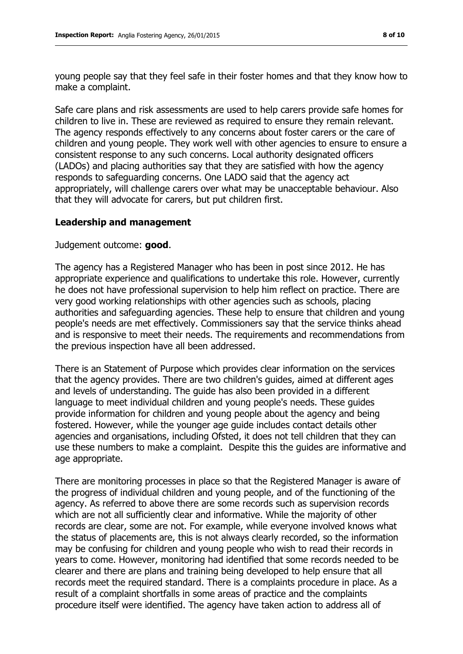young people say that they feel safe in their foster homes and that they know how to make a complaint.

Safe care plans and risk assessments are used to help carers provide safe homes for children to live in. These are reviewed as required to ensure they remain relevant. The agency responds effectively to any concerns about foster carers or the care of children and young people. They work well with other agencies to ensure to ensure a consistent response to any such concerns. Local authority designated officers (LADOs) and placing authorities say that they are satisfied with how the agency responds to safeguarding concerns. One LADO said that the agency act appropriately, will challenge carers over what may be unacceptable behaviour. Also that they will advocate for carers, but put children first.

#### **Leadership and management**

Judgement outcome: **good**.

The agency has a Registered Manager who has been in post since 2012. He has appropriate experience and qualifications to undertake this role. However, currently he does not have professional supervision to help him reflect on practice. There are very good working relationships with other agencies such as schools, placing authorities and safeguarding agencies. These help to ensure that children and young people's needs are met effectively. Commissioners say that the service thinks ahead and is responsive to meet their needs. The requirements and recommendations from the previous inspection have all been addressed.

There is an Statement of Purpose which provides clear information on the services that the agency provides. There are two children's guides, aimed at different ages and levels of understanding. The guide has also been provided in a different language to meet individual children and young people's needs. These guides provide information for children and young people about the agency and being fostered. However, while the younger age guide includes contact details other agencies and organisations, including Ofsted, it does not tell children that they can use these numbers to make a complaint. Despite this the guides are informative and age appropriate.

There are monitoring processes in place so that the Registered Manager is aware of the progress of individual children and young people, and of the functioning of the agency. As referred to above there are some records such as supervision records which are not all sufficiently clear and informative. While the majority of other records are clear, some are not. For example, while everyone involved knows what the status of placements are, this is not always clearly recorded, so the information may be confusing for children and young people who wish to read their records in years to come. However, monitoring had identified that some records needed to be clearer and there are plans and training being developed to help ensure that all records meet the required standard. There is a complaints procedure in place. As a result of a complaint shortfalls in some areas of practice and the complaints procedure itself were identified. The agency have taken action to address all of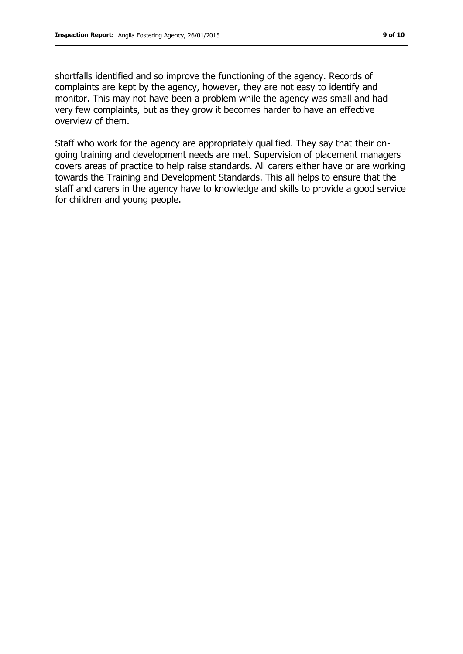shortfalls identified and so improve the functioning of the agency. Records of complaints are kept by the agency, however, they are not easy to identify and monitor. This may not have been a problem while the agency was small and had very few complaints, but as they grow it becomes harder to have an effective overview of them.

Staff who work for the agency are appropriately qualified. They say that their ongoing training and development needs are met. Supervision of placement managers covers areas of practice to help raise standards. All carers either have or are working towards the Training and Development Standards. This all helps to ensure that the staff and carers in the agency have to knowledge and skills to provide a good service for children and young people.